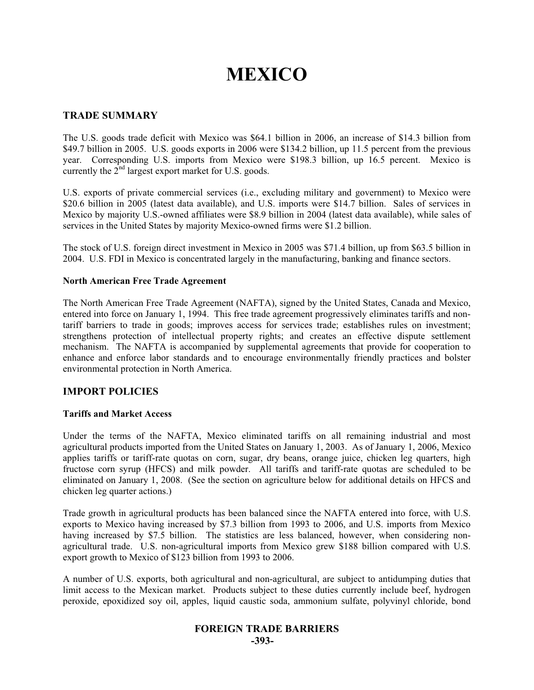# **MEXICO**

#### **TRADE SUMMARY**

The U.S. goods trade deficit with Mexico was \$64.1 billion in 2006, an increase of \$14.3 billion from \$49.7 billion in 2005. U.S. goods exports in 2006 were \$134.2 billion, up 11.5 percent from the previous year. Corresponding U.S. imports from Mexico were \$198.3 billion, up 16.5 percent. Mexico is currently the  $2<sup>nd</sup>$  largest export market for U.S. goods.

U.S. exports of private commercial services (i.e., excluding military and government) to Mexico were \$20.6 billion in 2005 (latest data available), and U.S. imports were \$14.7 billion. Sales of services in Mexico by majority U.S.-owned affiliates were \$8.9 billion in 2004 (latest data available), while sales of services in the United States by majority Mexico-owned firms were \$1.2 billion.

The stock of U.S. foreign direct investment in Mexico in 2005 was \$71.4 billion, up from \$63.5 billion in 2004. U.S. FDI in Mexico is concentrated largely in the manufacturing, banking and finance sectors.

#### **North American Free Trade Agreement**

The North American Free Trade Agreement (NAFTA), signed by the United States, Canada and Mexico, entered into force on January 1, 1994. This free trade agreement progressively eliminates tariffs and nontariff barriers to trade in goods; improves access for services trade; establishes rules on investment; strengthens protection of intellectual property rights; and creates an effective dispute settlement mechanism. The NAFTA is accompanied by supplemental agreements that provide for cooperation to enhance and enforce labor standards and to encourage environmentally friendly practices and bolster environmental protection in North America.

#### **IMPORT POLICIES**

#### **Tariffs and Market Access**

Under the terms of the NAFTA, Mexico eliminated tariffs on all remaining industrial and most agricultural products imported from the United States on January 1, 2003. As of January 1, 2006, Mexico applies tariffs or tariff-rate quotas on corn, sugar, dry beans, orange juice, chicken leg quarters, high fructose corn syrup (HFCS) and milk powder. All tariffs and tariff-rate quotas are scheduled to be eliminated on January 1, 2008. (See the section on agriculture below for additional details on HFCS and chicken leg quarter actions.)

Trade growth in agricultural products has been balanced since the NAFTA entered into force, with U.S. exports to Mexico having increased by \$7.3 billion from 1993 to 2006, and U.S. imports from Mexico having increased by \$7.5 billion. The statistics are less balanced, however, when considering nonagricultural trade. U.S. non-agricultural imports from Mexico grew \$188 billion compared with U.S. export growth to Mexico of \$123 billion from 1993 to 2006.

A number of U.S. exports, both agricultural and non-agricultural, are subject to antidumping duties that limit access to the Mexican market. Products subject to these duties currently include beef, hydrogen peroxide, epoxidized soy oil, apples, liquid caustic soda, ammonium sulfate, polyvinyl chloride, bond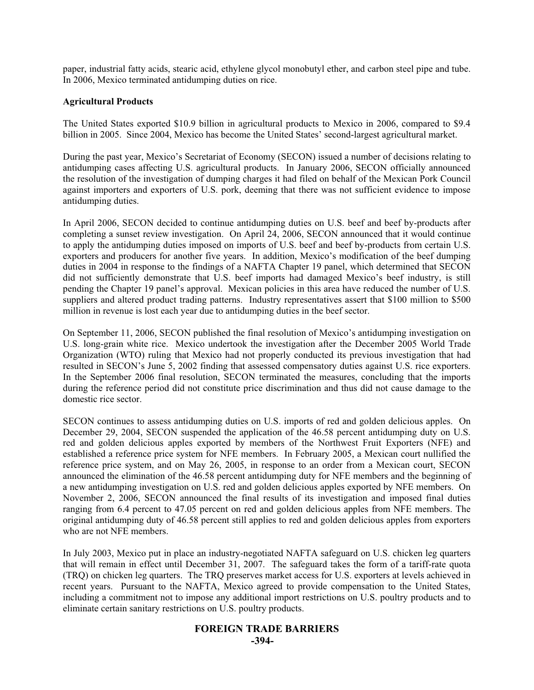paper, industrial fatty acids, stearic acid, ethylene glycol monobutyl ether, and carbon steel pipe and tube. In 2006, Mexico terminated antidumping duties on rice.

#### **Agricultural Products**

The United States exported \$10.9 billion in agricultural products to Mexico in 2006, compared to \$9.4 billion in 2005. Since 2004, Mexico has become the United States' second-largest agricultural market.

During the past year, Mexico's Secretariat of Economy (SECON) issued a number of decisions relating to antidumping cases affecting U.S. agricultural products. In January 2006, SECON officially announced the resolution of the investigation of dumping charges it had filed on behalf of the Mexican Pork Council against importers and exporters of U.S. pork, deeming that there was not sufficient evidence to impose antidumping duties.

In April 2006, SECON decided to continue antidumping duties on U.S. beef and beef by-products after completing a sunset review investigation. On April 24, 2006, SECON announced that it would continue to apply the antidumping duties imposed on imports of U.S. beef and beef by-products from certain U.S. exporters and producers for another five years. In addition, Mexico's modification of the beef dumping duties in 2004 in response to the findings of a NAFTA Chapter 19 panel, which determined that SECON did not sufficiently demonstrate that U.S. beef imports had damaged Mexico's beef industry, is still pending the Chapter 19 panel's approval. Mexican policies in this area have reduced the number of U.S. suppliers and altered product trading patterns. Industry representatives assert that \$100 million to \$500 million in revenue is lost each year due to antidumping duties in the beef sector.

On September 11, 2006, SECON published the final resolution of Mexico's antidumping investigation on U.S. long-grain white rice. Mexico undertook the investigation after the December 2005 World Trade Organization (WTO) ruling that Mexico had not properly conducted its previous investigation that had resulted in SECON's June 5, 2002 finding that assessed compensatory duties against U.S. rice exporters. In the September 2006 final resolution, SECON terminated the measures, concluding that the imports during the reference period did not constitute price discrimination and thus did not cause damage to the domestic rice sector.

SECON continues to assess antidumping duties on U.S. imports of red and golden delicious apples. On December 29, 2004, SECON suspended the application of the 46.58 percent antidumping duty on U.S. red and golden delicious apples exported by members of the Northwest Fruit Exporters (NFE) and established a reference price system for NFE members. In February 2005, a Mexican court nullified the reference price system, and on May 26, 2005, in response to an order from a Mexican court, SECON announced the elimination of the 46.58 percent antidumping duty for NFE members and the beginning of a new antidumping investigation on U.S. red and golden delicious apples exported by NFE members. On November 2, 2006, SECON announced the final results of its investigation and imposed final duties ranging from 6.4 percent to 47.05 percent on red and golden delicious apples from NFE members. The original antidumping duty of 46.58 percent still applies to red and golden delicious apples from exporters who are not NFE members.

In July 2003, Mexico put in place an industry-negotiated NAFTA safeguard on U.S. chicken leg quarters that will remain in effect until December 31, 2007. The safeguard takes the form of a tariff-rate quota (TRQ) on chicken leg quarters. The TRQ preserves market access for U.S. exporters at levels achieved in recent years. Pursuant to the NAFTA, Mexico agreed to provide compensation to the United States, including a commitment not to impose any additional import restrictions on U.S. poultry products and to eliminate certain sanitary restrictions on U.S. poultry products.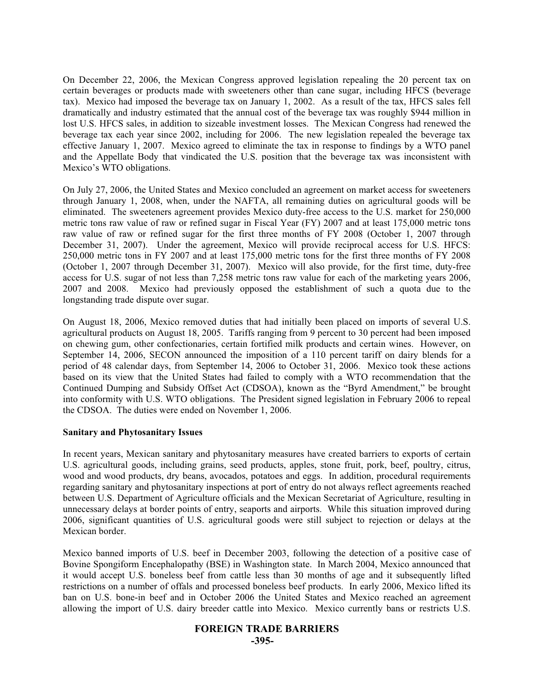On December 22, 2006, the Mexican Congress approved legislation repealing the 20 percent tax on certain beverages or products made with sweeteners other than cane sugar, including HFCS (beverage tax). Mexico had imposed the beverage tax on January 1, 2002. As a result of the tax, HFCS sales fell dramatically and industry estimated that the annual cost of the beverage tax was roughly \$944 million in lost U.S. HFCS sales, in addition to sizeable investment losses. The Mexican Congress had renewed the beverage tax each year since 2002, including for 2006. The new legislation repealed the beverage tax effective January 1, 2007. Mexico agreed to eliminate the tax in response to findings by a WTO panel and the Appellate Body that vindicated the U.S. position that the beverage tax was inconsistent with Mexico's WTO obligations.

On July 27, 2006, the United States and Mexico concluded an agreement on market access for sweeteners through January 1, 2008, when, under the NAFTA, all remaining duties on agricultural goods will be eliminated. The sweeteners agreement provides Mexico duty-free access to the U.S. market for 250,000 metric tons raw value of raw or refined sugar in Fiscal Year (FY) 2007 and at least 175,000 metric tons raw value of raw or refined sugar for the first three months of FY 2008 (October 1, 2007 through December 31, 2007). Under the agreement, Mexico will provide reciprocal access for U.S. HFCS: 250,000 metric tons in FY 2007 and at least 175,000 metric tons for the first three months of FY 2008 (October 1, 2007 through December 31, 2007). Mexico will also provide, for the first time, duty-free access for U.S. sugar of not less than 7,258 metric tons raw value for each of the marketing years 2006, 2007 and 2008. Mexico had previously opposed the establishment of such a quota due to the longstanding trade dispute over sugar.

On August 18, 2006, Mexico removed duties that had initially been placed on imports of several U.S. agricultural products on August 18, 2005. Tariffs ranging from 9 percent to 30 percent had been imposed on chewing gum, other confectionaries, certain fortified milk products and certain wines. However, on September 14, 2006, SECON announced the imposition of a 110 percent tariff on dairy blends for a period of 48 calendar days, from September 14, 2006 to October 31, 2006. Mexico took these actions based on its view that the United States had failed to comply with a WTO recommendation that the Continued Dumping and Subsidy Offset Act (CDSOA), known as the "Byrd Amendment," be brought into conformity with U.S. WTO obligations. The President signed legislation in February 2006 to repeal the CDSOA. The duties were ended on November 1, 2006.

#### **Sanitary and Phytosanitary Issues**

In recent years, Mexican sanitary and phytosanitary measures have created barriers to exports of certain U.S. agricultural goods, including grains, seed products, apples, stone fruit, pork, beef, poultry, citrus, wood and wood products, dry beans, avocados, potatoes and eggs. In addition, procedural requirements regarding sanitary and phytosanitary inspections at port of entry do not always reflect agreements reached between U.S. Department of Agriculture officials and the Mexican Secretariat of Agriculture, resulting in unnecessary delays at border points of entry, seaports and airports. While this situation improved during 2006, significant quantities of U.S. agricultural goods were still subject to rejection or delays at the Mexican border.

Mexico banned imports of U.S. beef in December 2003, following the detection of a positive case of Bovine Spongiform Encephalopathy (BSE) in Washington state. In March 2004, Mexico announced that it would accept U.S. boneless beef from cattle less than 30 months of age and it subsequently lifted restrictions on a number of offals and processed boneless beef products. In early 2006, Mexico lifted its ban on U.S. bone-in beef and in October 2006 the United States and Mexico reached an agreement allowing the import of U.S. dairy breeder cattle into Mexico. Mexico currently bans or restricts U.S.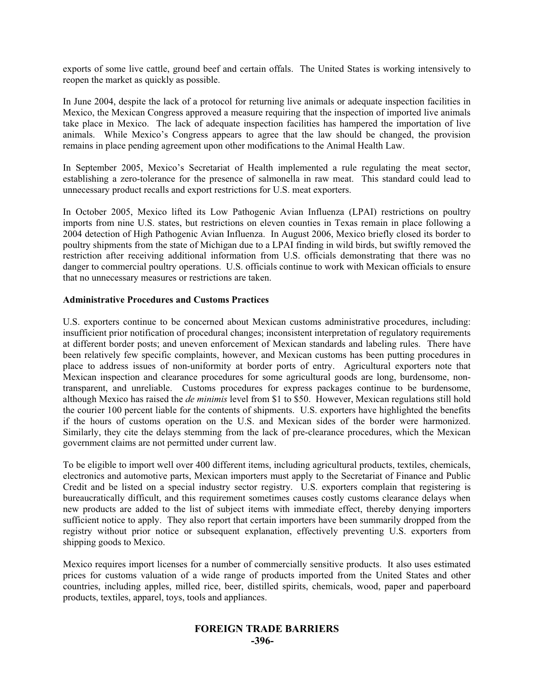exports of some live cattle, ground beef and certain offals. The United States is working intensively to reopen the market as quickly as possible.

In June 2004, despite the lack of a protocol for returning live animals or adequate inspection facilities in Mexico, the Mexican Congress approved a measure requiring that the inspection of imported live animals take place in Mexico. The lack of adequate inspection facilities has hampered the importation of live animals. While Mexico's Congress appears to agree that the law should be changed, the provision remains in place pending agreement upon other modifications to the Animal Health Law.

In September 2005, Mexico's Secretariat of Health implemented a rule regulating the meat sector, establishing a zero-tolerance for the presence of salmonella in raw meat. This standard could lead to unnecessary product recalls and export restrictions for U.S. meat exporters.

In October 2005, Mexico lifted its Low Pathogenic Avian Influenza (LPAI) restrictions on poultry imports from nine U.S. states, but restrictions on eleven counties in Texas remain in place following a 2004 detection of High Pathogenic Avian Influenza. In August 2006, Mexico briefly closed its border to poultry shipments from the state of Michigan due to a LPAI finding in wild birds, but swiftly removed the restriction after receiving additional information from U.S. officials demonstrating that there was no danger to commercial poultry operations. U.S. officials continue to work with Mexican officials to ensure that no unnecessary measures or restrictions are taken.

#### **Administrative Procedures and Customs Practices**

U.S. exporters continue to be concerned about Mexican customs administrative procedures, including: insufficient prior notification of procedural changes; inconsistent interpretation of regulatory requirements at different border posts; and uneven enforcement of Mexican standards and labeling rules. There have been relatively few specific complaints, however, and Mexican customs has been putting procedures in place to address issues of non-uniformity at border ports of entry. Agricultural exporters note that Mexican inspection and clearance procedures for some agricultural goods are long, burdensome, nontransparent, and unreliable. Customs procedures for express packages continue to be burdensome, although Mexico has raised the *de minimis* level from \$1 to \$50. However, Mexican regulations still hold the courier 100 percent liable for the contents of shipments. U.S. exporters have highlighted the benefits if the hours of customs operation on the U.S. and Mexican sides of the border were harmonized. Similarly, they cite the delays stemming from the lack of pre-clearance procedures, which the Mexican government claims are not permitted under current law.

To be eligible to import well over 400 different items, including agricultural products, textiles, chemicals, electronics and automotive parts, Mexican importers must apply to the Secretariat of Finance and Public Credit and be listed on a special industry sector registry. U.S. exporters complain that registering is bureaucratically difficult, and this requirement sometimes causes costly customs clearance delays when new products are added to the list of subject items with immediate effect, thereby denying importers sufficient notice to apply. They also report that certain importers have been summarily dropped from the registry without prior notice or subsequent explanation, effectively preventing U.S. exporters from shipping goods to Mexico.

Mexico requires import licenses for a number of commercially sensitive products. It also uses estimated prices for customs valuation of a wide range of products imported from the United States and other countries, including apples, milled rice, beer, distilled spirits, chemicals, wood, paper and paperboard products, textiles, apparel, toys, tools and appliances.

#### **FOREIGN TRADE BARRIERS -396-**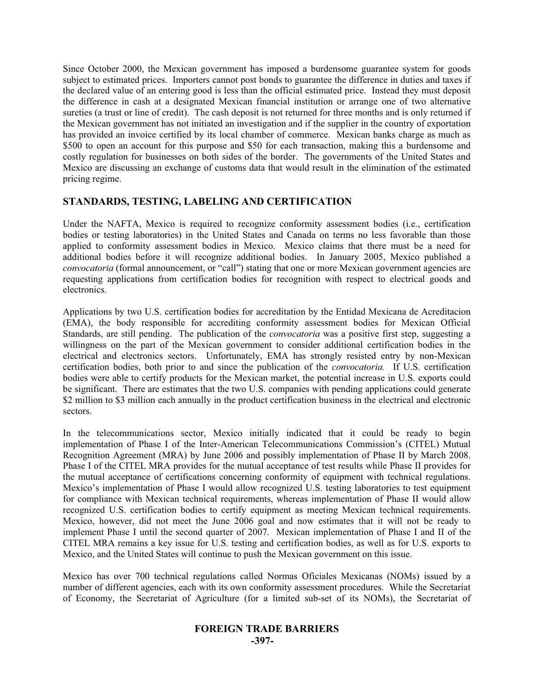Since October 2000, the Mexican government has imposed a burdensome guarantee system for goods subject to estimated prices. Importers cannot post bonds to guarantee the difference in duties and taxes if the declared value of an entering good is less than the official estimated price. Instead they must deposit the difference in cash at a designated Mexican financial institution or arrange one of two alternative sureties (a trust or line of credit). The cash deposit is not returned for three months and is only returned if the Mexican government has not initiated an investigation and if the supplier in the country of exportation has provided an invoice certified by its local chamber of commerce. Mexican banks charge as much as \$500 to open an account for this purpose and \$50 for each transaction, making this a burdensome and costly regulation for businesses on both sides of the border. The governments of the United States and Mexico are discussing an exchange of customs data that would result in the elimination of the estimated pricing regime.

#### **STANDARDS, TESTING, LABELING AND CERTIFICATION**

Under the NAFTA, Mexico is required to recognize conformity assessment bodies (i.e., certification bodies or testing laboratories) in the United States and Canada on terms no less favorable than those applied to conformity assessment bodies in Mexico. Mexico claims that there must be a need for additional bodies before it will recognize additional bodies. In January 2005, Mexico published a *convocatoria* (formal announcement, or "call") stating that one or more Mexican government agencies are requesting applications from certification bodies for recognition with respect to electrical goods and electronics.

Applications by two U.S. certification bodies for accreditation by the Entidad Mexicana de Acreditacion (EMA), the body responsible for accrediting conformity assessment bodies for Mexican Official Standards, are still pending. The publication of the *convocatoria* was a positive first step, suggesting a willingness on the part of the Mexican government to consider additional certification bodies in the electrical and electronics sectors. Unfortunately, EMA has strongly resisted entry by non-Mexican certification bodies, both prior to and since the publication of the *convocatoria.* If U.S. certification bodies were able to certify products for the Mexican market, the potential increase in U.S. exports could be significant. There are estimates that the two U.S. companies with pending applications could generate \$2 million to \$3 million each annually in the product certification business in the electrical and electronic sectors.

In the telecommunications sector, Mexico initially indicated that it could be ready to begin implementation of Phase I of the Inter-American Telecommunications Commission's (CITEL) Mutual Recognition Agreement (MRA) by June 2006 and possibly implementation of Phase II by March 2008. Phase I of the CITEL MRA provides for the mutual acceptance of test results while Phase II provides for the mutual acceptance of certifications concerning conformity of equipment with technical regulations. Mexico's implementation of Phase I would allow recognized U.S. testing laboratories to test equipment for compliance with Mexican technical requirements, whereas implementation of Phase II would allow recognized U.S. certification bodies to certify equipment as meeting Mexican technical requirements. Mexico, however, did not meet the June 2006 goal and now estimates that it will not be ready to implement Phase I until the second quarter of 2007. Mexican implementation of Phase I and II of the CITEL MRA remains a key issue for U.S. testing and certification bodies, as well as for U.S. exports to Mexico, and the United States will continue to push the Mexican government on this issue.

Mexico has over 700 technical regulations called Normas Oficiales Mexicanas (NOMs) issued by a number of different agencies, each with its own conformity assessment procedures. While the Secretariat of Economy, the Secretariat of Agriculture (for a limited sub-set of its NOMs), the Secretariat of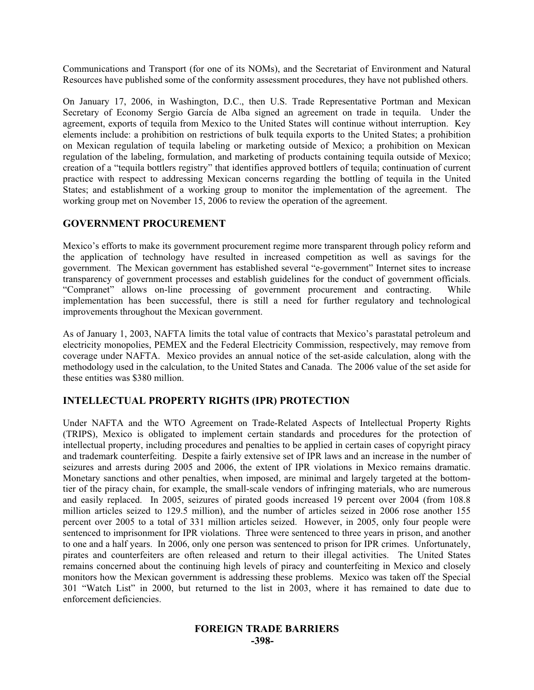Communications and Transport (for one of its NOMs), and the Secretariat of Environment and Natural Resources have published some of the conformity assessment procedures, they have not published others.

On January 17, 2006, in Washington, D.C., then U.S. Trade Representative Portman and Mexican Secretary of Economy Sergio García de Alba signed an agreement on trade in tequila. Under the agreement, exports of tequila from Mexico to the United States will continue without interruption. Key elements include: a prohibition on restrictions of bulk tequila exports to the United States; a prohibition on Mexican regulation of tequila labeling or marketing outside of Mexico; a prohibition on Mexican regulation of the labeling, formulation, and marketing of products containing tequila outside of Mexico; creation of a "tequila bottlers registry" that identifies approved bottlers of tequila; continuation of current practice with respect to addressing Mexican concerns regarding the bottling of tequila in the United States; and establishment of a working group to monitor the implementation of the agreement. The working group met on November 15, 2006 to review the operation of the agreement.

#### **GOVERNMENT PROCUREMENT**

Mexico's efforts to make its government procurement regime more transparent through policy reform and the application of technology have resulted in increased competition as well as savings for the government. The Mexican government has established several "e-government" Internet sites to increase transparency of government processes and establish guidelines for the conduct of government officials. "Compranet" allows on-line processing of government procurement and contracting. While implementation has been successful, there is still a need for further regulatory and technological improvements throughout the Mexican government.

As of January 1, 2003, NAFTA limits the total value of contracts that Mexico's parastatal petroleum and electricity monopolies, PEMEX and the Federal Electricity Commission, respectively, may remove from coverage under NAFTA. Mexico provides an annual notice of the set-aside calculation, along with the methodology used in the calculation, to the United States and Canada. The 2006 value of the set aside for these entities was \$380 million.

#### **INTELLECTUAL PROPERTY RIGHTS (IPR) PROTECTION**

Under NAFTA and the WTO Agreement on Trade-Related Aspects of Intellectual Property Rights (TRIPS), Mexico is obligated to implement certain standards and procedures for the protection of intellectual property, including procedures and penalties to be applied in certain cases of copyright piracy and trademark counterfeiting. Despite a fairly extensive set of IPR laws and an increase in the number of seizures and arrests during 2005 and 2006, the extent of IPR violations in Mexico remains dramatic. Monetary sanctions and other penalties, when imposed, are minimal and largely targeted at the bottomtier of the piracy chain, for example, the small-scale vendors of infringing materials, who are numerous and easily replaced. In 2005, seizures of pirated goods increased 19 percent over 2004 (from 108.8 million articles seized to 129.5 million), and the number of articles seized in 2006 rose another 155 percent over 2005 to a total of 331 million articles seized. However, in 2005, only four people were sentenced to imprisonment for IPR violations. Three were sentenced to three years in prison, and another to one and a half years. In 2006, only one person was sentenced to prison for IPR crimes. Unfortunately, pirates and counterfeiters are often released and return to their illegal activities. The United States remains concerned about the continuing high levels of piracy and counterfeiting in Mexico and closely monitors how the Mexican government is addressing these problems. Mexico was taken off the Special 301 "Watch List" in 2000, but returned to the list in 2003, where it has remained to date due to enforcement deficiencies.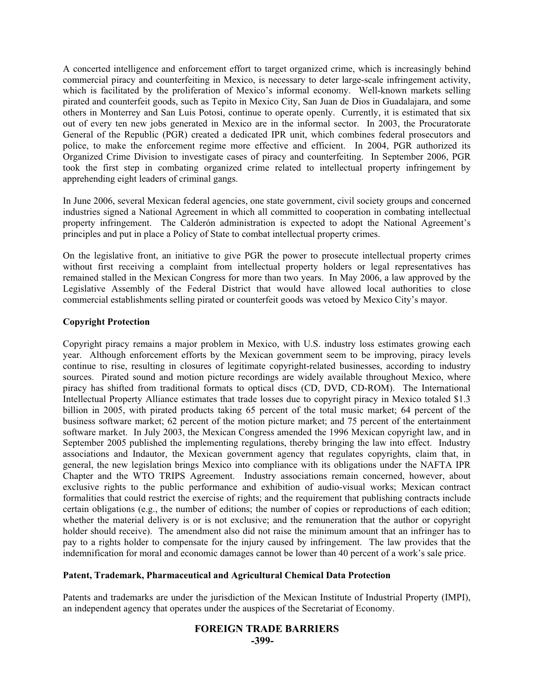A concerted intelligence and enforcement effort to target organized crime, which is increasingly behind commercial piracy and counterfeiting in Mexico, is necessary to deter large-scale infringement activity, which is facilitated by the proliferation of Mexico's informal economy. Well-known markets selling pirated and counterfeit goods, such as Tepito in Mexico City, San Juan de Dios in Guadalajara, and some others in Monterrey and San Luis Potosi, continue to operate openly. Currently, it is estimated that six out of every ten new jobs generated in Mexico are in the informal sector. In 2003, the Procuratorate General of the Republic (PGR) created a dedicated IPR unit, which combines federal prosecutors and police, to make the enforcement regime more effective and efficient. In 2004, PGR authorized its Organized Crime Division to investigate cases of piracy and counterfeiting. In September 2006, PGR took the first step in combating organized crime related to intellectual property infringement by apprehending eight leaders of criminal gangs.

In June 2006, several Mexican federal agencies, one state government, civil society groups and concerned industries signed a National Agreement in which all committed to cooperation in combating intellectual property infringement. The Calderón administration is expected to adopt the National Agreement's principles and put in place a Policy of State to combat intellectual property crimes.

On the legislative front, an initiative to give PGR the power to prosecute intellectual property crimes without first receiving a complaint from intellectual property holders or legal representatives has remained stalled in the Mexican Congress for more than two years. In May 2006, a law approved by the Legislative Assembly of the Federal District that would have allowed local authorities to close commercial establishments selling pirated or counterfeit goods was vetoed by Mexico City's mayor.

#### **Copyright Protection**

Copyright piracy remains a major problem in Mexico, with U.S. industry loss estimates growing each year. Although enforcement efforts by the Mexican government seem to be improving, piracy levels continue to rise, resulting in closures of legitimate copyright-related businesses, according to industry sources. Pirated sound and motion picture recordings are widely available throughout Mexico, where piracy has shifted from traditional formats to optical discs (CD, DVD, CD-ROM). The International Intellectual Property Alliance estimates that trade losses due to copyright piracy in Mexico totaled \$1.3 billion in 2005, with pirated products taking 65 percent of the total music market; 64 percent of the business software market; 62 percent of the motion picture market; and 75 percent of the entertainment software market. In July 2003, the Mexican Congress amended the 1996 Mexican copyright law, and in September 2005 published the implementing regulations, thereby bringing the law into effect. Industry associations and Indautor, the Mexican government agency that regulates copyrights, claim that, in general, the new legislation brings Mexico into compliance with its obligations under the NAFTA IPR Chapter and the WTO TRIPS Agreement. Industry associations remain concerned, however, about exclusive rights to the public performance and exhibition of audio-visual works; Mexican contract formalities that could restrict the exercise of rights; and the requirement that publishing contracts include certain obligations (e.g., the number of editions; the number of copies or reproductions of each edition; whether the material delivery is or is not exclusive; and the remuneration that the author or copyright holder should receive). The amendment also did not raise the minimum amount that an infringer has to pay to a rights holder to compensate for the injury caused by infringement. The law provides that the indemnification for moral and economic damages cannot be lower than 40 percent of a work's sale price.

#### **Patent, Trademark, Pharmaceutical and Agricultural Chemical Data Protection**

Patents and trademarks are under the jurisdiction of the Mexican Institute of Industrial Property (IMPI), an independent agency that operates under the auspices of the Secretariat of Economy.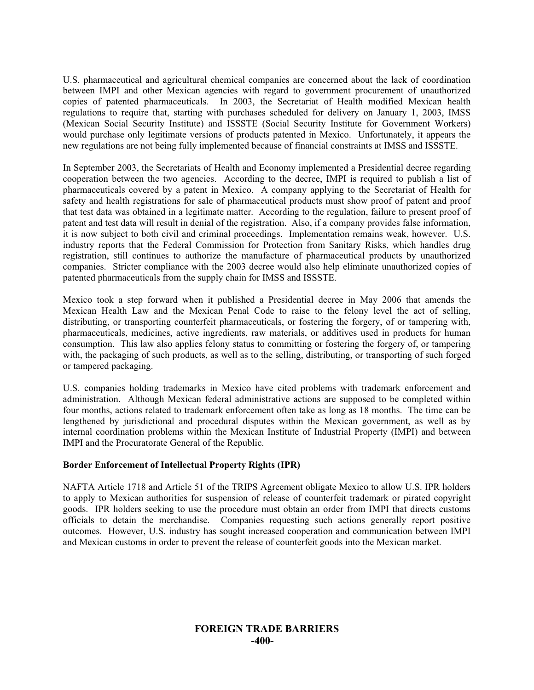U.S. pharmaceutical and agricultural chemical companies are concerned about the lack of coordination between IMPI and other Mexican agencies with regard to government procurement of unauthorized copies of patented pharmaceuticals. In 2003, the Secretariat of Health modified Mexican health regulations to require that, starting with purchases scheduled for delivery on January 1, 2003, IMSS (Mexican Social Security Institute) and ISSSTE (Social Security Institute for Government Workers) would purchase only legitimate versions of products patented in Mexico. Unfortunately, it appears the new regulations are not being fully implemented because of financial constraints at IMSS and ISSSTE.

In September 2003, the Secretariats of Health and Economy implemented a Presidential decree regarding cooperation between the two agencies. According to the decree, IMPI is required to publish a list of pharmaceuticals covered by a patent in Mexico. A company applying to the Secretariat of Health for safety and health registrations for sale of pharmaceutical products must show proof of patent and proof that test data was obtained in a legitimate matter. According to the regulation, failure to present proof of patent and test data will result in denial of the registration. Also, if a company provides false information, it is now subject to both civil and criminal proceedings. Implementation remains weak, however. U.S. industry reports that the Federal Commission for Protection from Sanitary Risks, which handles drug registration, still continues to authorize the manufacture of pharmaceutical products by unauthorized companies. Stricter compliance with the 2003 decree would also help eliminate unauthorized copies of patented pharmaceuticals from the supply chain for IMSS and ISSSTE.

Mexico took a step forward when it published a Presidential decree in May 2006 that amends the Mexican Health Law and the Mexican Penal Code to raise to the felony level the act of selling, distributing, or transporting counterfeit pharmaceuticals, or fostering the forgery, of or tampering with, pharmaceuticals, medicines, active ingredients, raw materials, or additives used in products for human consumption. This law also applies felony status to committing or fostering the forgery of, or tampering with, the packaging of such products, as well as to the selling, distributing, or transporting of such forged or tampered packaging.

U.S. companies holding trademarks in Mexico have cited problems with trademark enforcement and administration. Although Mexican federal administrative actions are supposed to be completed within four months, actions related to trademark enforcement often take as long as 18 months. The time can be lengthened by jurisdictional and procedural disputes within the Mexican government, as well as by internal coordination problems within the Mexican Institute of Industrial Property (IMPI) and between IMPI and the Procuratorate General of the Republic.

#### **Border Enforcement of Intellectual Property Rights (IPR)**

NAFTA Article 1718 and Article 51 of the TRIPS Agreement obligate Mexico to allow U.S. IPR holders to apply to Mexican authorities for suspension of release of counterfeit trademark or pirated copyright goods. IPR holders seeking to use the procedure must obtain an order from IMPI that directs customs officials to detain the merchandise. Companies requesting such actions generally report positive outcomes. However, U.S. industry has sought increased cooperation and communication between IMPI and Mexican customs in order to prevent the release of counterfeit goods into the Mexican market.

#### **FOREIGN TRADE BARRIERS -400-**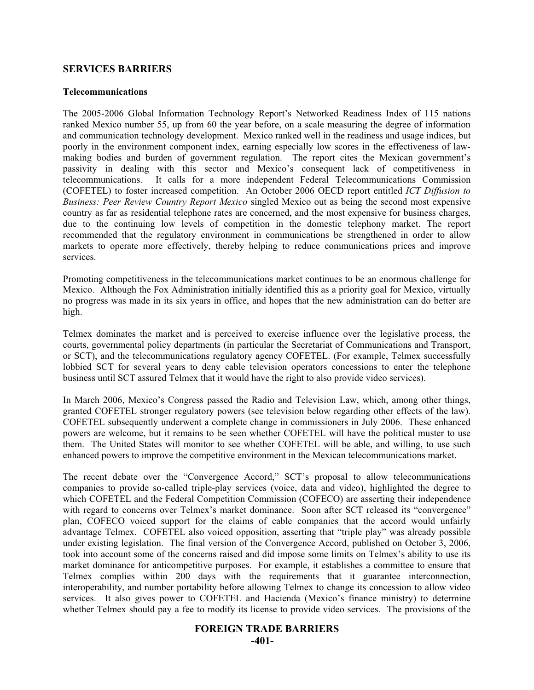#### **SERVICES BARRIERS**

#### **Telecommunications**

The 2005-2006 Global Information Technology Report's Networked Readiness Index of 115 nations ranked Mexico number 55, up from 60 the year before, on a scale measuring the degree of information and communication technology development. Mexico ranked well in the readiness and usage indices, but poorly in the environment component index, earning especially low scores in the effectiveness of lawmaking bodies and burden of government regulation. The report cites the Mexican government's passivity in dealing with this sector and Mexico's consequent lack of competitiveness in telecommunications. It calls for a more independent Federal Telecommunications Commission (COFETEL) to foster increased competition. An October 2006 OECD report entitled *ICT Diffusion to Business: Peer Review Country Report Mexico* singled Mexico out as being the second most expensive country as far as residential telephone rates are concerned, and the most expensive for business charges, due to the continuing low levels of competition in the domestic telephony market. The report recommended that the regulatory environment in communications be strengthened in order to allow markets to operate more effectively, thereby helping to reduce communications prices and improve services.

Promoting competitiveness in the telecommunications market continues to be an enormous challenge for Mexico. Although the Fox Administration initially identified this as a priority goal for Mexico, virtually no progress was made in its six years in office, and hopes that the new administration can do better are high.

Telmex dominates the market and is perceived to exercise influence over the legislative process, the courts, governmental policy departments (in particular the Secretariat of Communications and Transport, or SCT), and the telecommunications regulatory agency COFETEL. (For example, Telmex successfully lobbied SCT for several years to deny cable television operators concessions to enter the telephone business until SCT assured Telmex that it would have the right to also provide video services).

In March 2006, Mexico's Congress passed the Radio and Television Law, which, among other things, granted COFETEL stronger regulatory powers (see television below regarding other effects of the law). COFETEL subsequently underwent a complete change in commissioners in July 2006. These enhanced powers are welcome, but it remains to be seen whether COFETEL will have the political muster to use them. The United States will monitor to see whether COFETEL will be able, and willing, to use such enhanced powers to improve the competitive environment in the Mexican telecommunications market.

The recent debate over the "Convergence Accord," SCT's proposal to allow telecommunications companies to provide so-called triple-play services (voice, data and video), highlighted the degree to which COFETEL and the Federal Competition Commission (COFECO) are asserting their independence with regard to concerns over Telmex's market dominance. Soon after SCT released its "convergence" plan, COFECO voiced support for the claims of cable companies that the accord would unfairly advantage Telmex. COFETEL also voiced opposition, asserting that "triple play" was already possible under existing legislation. The final version of the Convergence Accord, published on October 3, 2006, took into account some of the concerns raised and did impose some limits on Telmex's ability to use its market dominance for anticompetitive purposes. For example, it establishes a committee to ensure that Telmex complies within 200 days with the requirements that it guarantee interconnection, interoperability, and number portability before allowing Telmex to change its concession to allow video services. It also gives power to COFETEL and Hacienda (Mexico's finance ministry) to determine whether Telmex should pay a fee to modify its license to provide video services. The provisions of the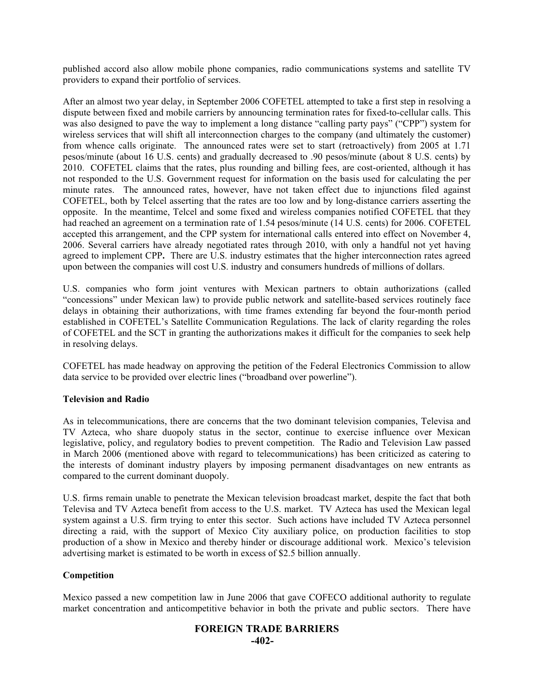published accord also allow mobile phone companies, radio communications systems and satellite TV providers to expand their portfolio of services.

After an almost two year delay, in September 2006 COFETEL attempted to take a first step in resolving a dispute between fixed and mobile carriers by announcing termination rates for fixed-to-cellular calls. This was also designed to pave the way to implement a long distance "calling party pays" ("CPP") system for wireless services that will shift all interconnection charges to the company (and ultimately the customer) from whence calls originate. The announced rates were set to start (retroactively) from 2005 at 1.71 pesos/minute (about 16 U.S. cents) and gradually decreased to .90 pesos/minute (about 8 U.S. cents) by 2010. COFETEL claims that the rates, plus rounding and billing fees, are cost-oriented, although it has not responded to the U.S. Government request for information on the basis used for calculating the per minute rates. The announced rates, however, have not taken effect due to injunctions filed against COFETEL, both by Telcel asserting that the rates are too low and by long-distance carriers asserting the opposite. In the meantime, Telcel and some fixed and wireless companies notified COFETEL that they had reached an agreement on a termination rate of 1.54 pesos/minute (14 U.S. cents) for 2006. COFETEL accepted this arrangement, and the CPP system for international calls entered into effect on November 4, 2006. Several carriers have already negotiated rates through 2010, with only a handful not yet having agreed to implement CPP**.** There are U.S. industry estimates that the higher interconnection rates agreed upon between the companies will cost U.S. industry and consumers hundreds of millions of dollars.

U.S. companies who form joint ventures with Mexican partners to obtain authorizations (called "concessions" under Mexican law) to provide public network and satellite-based services routinely face delays in obtaining their authorizations, with time frames extending far beyond the four-month period established in COFETEL's Satellite Communication Regulations. The lack of clarity regarding the roles of COFETEL and the SCT in granting the authorizations makes it difficult for the companies to seek help in resolving delays.

COFETEL has made headway on approving the petition of the Federal Electronics Commission to allow data service to be provided over electric lines ("broadband over powerline").

#### **Television and Radio**

As in telecommunications, there are concerns that the two dominant television companies, Televisa and TV Azteca, who share duopoly status in the sector, continue to exercise influence over Mexican legislative, policy, and regulatory bodies to prevent competition. The Radio and Television Law passed in March 2006 (mentioned above with regard to telecommunications) has been criticized as catering to the interests of dominant industry players by imposing permanent disadvantages on new entrants as compared to the current dominant duopoly.

U.S. firms remain unable to penetrate the Mexican television broadcast market, despite the fact that both Televisa and TV Azteca benefit from access to the U.S. market. TV Azteca has used the Mexican legal system against a U.S. firm trying to enter this sector. Such actions have included TV Azteca personnel directing a raid, with the support of Mexico City auxiliary police, on production facilities to stop production of a show in Mexico and thereby hinder or discourage additional work. Mexico's television advertising market is estimated to be worth in excess of \$2.5 billion annually.

#### **Competition**

Mexico passed a new competition law in June 2006 that gave COFECO additional authority to regulate market concentration and anticompetitive behavior in both the private and public sectors. There have